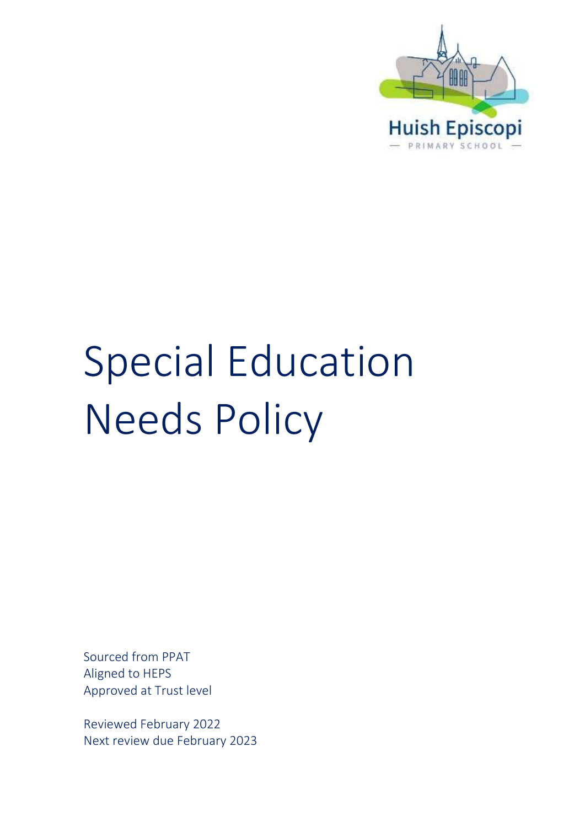

# Special Education Needs Policy

Sourced from PPAT Aligned to HEPS Approved at Trust level

Reviewed February 2022 Next review due February 2023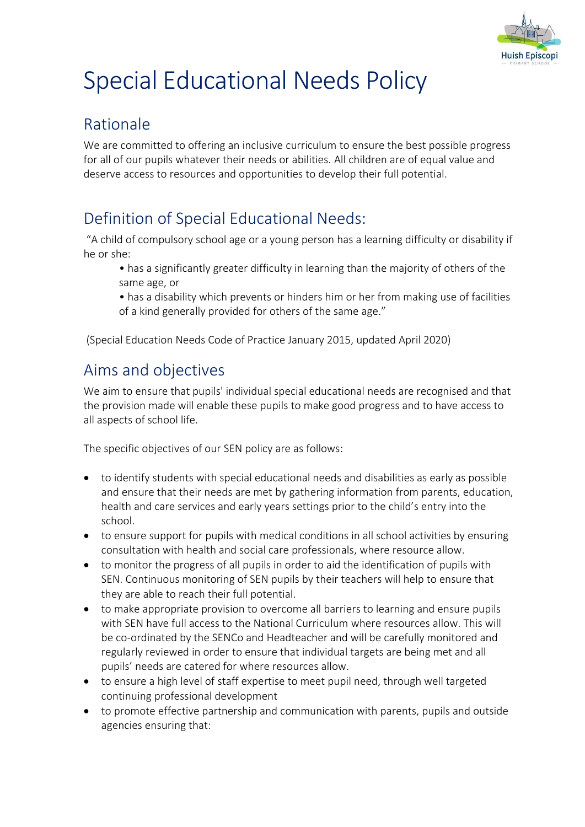

## Special Educational Needs Policy

## Rationale

We are committed to offering an inclusive curriculum to ensure the best possible progress for all of our pupils whatever their needs or abilities. All children are of equal value and deserve access to resources and opportunities to develop their full potential.

## Definition of Special Educational Needs:

"A child of compulsory school age or a young person has a learning difficulty or disability if he or she:

- has a significantly greater difficulty in learning than the majority of others of the same age, or
- has a disability which prevents or hinders him or her from making use of facilities of a kind generally provided for others of the same age."

(Special Education Needs Code of Practice January 2015, updated April 2020)

## Aims and objectives

We aim to ensure that pupils' individual special educational needs are recognised and that the provision made will enable these pupils to make good progress and to have access to all aspects of school life.

The specific objectives of our SEN policy are as follows:

- to identify students with special educational needs and disabilities as early as possible and ensure that their needs are met by gathering information from parents, education, health and care services and early years settings prior to the child's entry into the school.
- to ensure support for pupils with medical conditions in all school activities by ensuring consultation with health and social care professionals, where resource allow.
- to monitor the progress of all pupils in order to aid the identification of pupils with SEN. Continuous monitoring of SEN pupils by their teachers will help to ensure that they are able to reach their full potential.
- to make appropriate provision to overcome all barriers to learning and ensure pupils with SEN have full access to the National Curriculum where resources allow. This will be co-ordinated by the SENCo and Headteacher and will be carefully monitored and regularly reviewed in order to ensure that individual targets are being met and all pupils' needs are catered for where resources allow.
- to ensure a high level of staff expertise to meet pupil need, through well targeted continuing professional development
- to promote effective partnership and communication with parents, pupils and outside agencies ensuring that: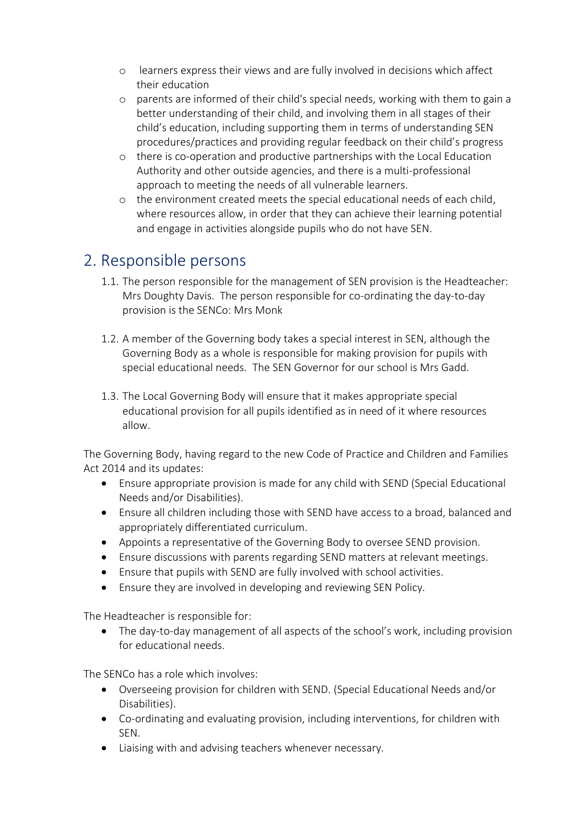- o learners express their views and are fully involved in decisions which affect their education
- o parents are informed of their child's special needs, working with them to gain a better understanding of their child, and involving them in all stages of their child's education, including supporting them in terms of understanding SEN procedures/practices and providing regular feedback on their child's progress
- o there is co-operation and productive partnerships with the Local Education Authority and other outside agencies, and there is a multi-professional approach to meeting the needs of all vulnerable learners.
- o the environment created meets the special educational needs of each child, where resources allow, in order that they can achieve their learning potential and engage in activities alongside pupils who do not have SEN.

## 2. Responsible persons

- 1.1. The person responsible for the management of SEN provision is the Headteacher: Mrs Doughty Davis. The person responsible for co-ordinating the day-to-day provision is the SENCo: Mrs Monk
- 1.2. A member of the Governing body takes a special interest in SEN, although the Governing Body as a whole is responsible for making provision for pupils with special educational needs. The SEN Governor for our school is Mrs Gadd.
- 1.3. The Local Governing Body will ensure that it makes appropriate special educational provision for all pupils identified as in need of it where resources allow.

The Governing Body, having regard to the new Code of Practice and Children and Families Act 2014 and its updates:

- Ensure appropriate provision is made for any child with SEND (Special Educational Needs and/or Disabilities).
- Ensure all children including those with SEND have access to a broad, balanced and appropriately differentiated curriculum.
- Appoints a representative of the Governing Body to oversee SEND provision.
- Ensure discussions with parents regarding SEND matters at relevant meetings.
- Ensure that pupils with SEND are fully involved with school activities.
- Ensure they are involved in developing and reviewing SEN Policy.

The Headteacher is responsible for:

• The day-to-day management of all aspects of the school's work, including provision for educational needs.

The SENCo has a role which involves:

- Overseeing provision for children with SEND. (Special Educational Needs and/or Disabilities).
- Co-ordinating and evaluating provision, including interventions, for children with SEN.
- Liaising with and advising teachers whenever necessary.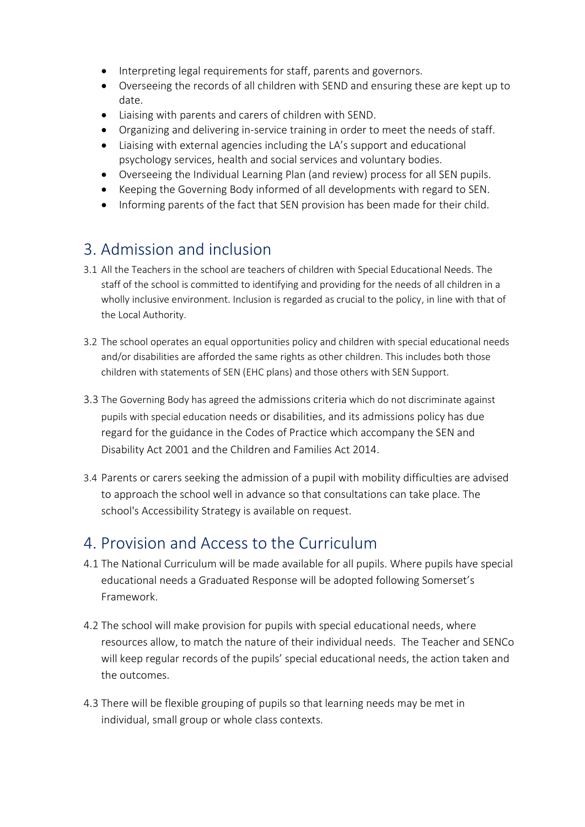- Interpreting legal requirements for staff, parents and governors.
- Overseeing the records of all children with SEND and ensuring these are kept up to date.
- Liaising with parents and carers of children with SEND.
- Organizing and delivering in-service training in order to meet the needs of staff.
- Liaising with external agencies including the LA's support and educational psychology services, health and social services and voluntary bodies.
- Overseeing the Individual Learning Plan (and review) process for all SEN pupils.
- Keeping the Governing Body informed of all developments with regard to SEN.
- Informing parents of the fact that SEN provision has been made for their child.

## 3. Admission and inclusion

- 3.1 All the Teachers in the school are teachers of children with Special Educational Needs. The staff of the school is committed to identifying and providing for the needs of all children in a wholly inclusive environment. Inclusion is regarded as crucial to the policy, in line with that of the Local Authority.
- 3.2 The school operates an equal opportunities policy and children with special educational needs and/or disabilities are afforded the same rights as other children. This includes both those children with statements of SEN (EHC plans) and those others with SEN Support.
- 3.3 The Governing Body has agreed the admissions criteria which do not discriminate against pupils with special education needs or disabilities, and its admissions policy has due regard for the guidance in the Codes of Practice which accompany the SEN and Disability Act 2001 and the Children and Families Act 2014.
- 3.4 Parents or carers seeking the admission of a pupil with mobility difficulties are advised to approach the school well in advance so that consultations can take place. The school's Accessibility Strategy is available on request.

## 4. Provision and Access to the Curriculum

- 4.1 The National Curriculum will be made available for all pupils. Where pupils have special educational needs a Graduated Response will be adopted following Somerset's Framework.
- 4.2 The school will make provision for pupils with special educational needs, where resources allow, to match the nature of their individual needs. The Teacher and SENCo will keep regular records of the pupils' special educational needs, the action taken and the outcomes.
- 4.3 There will be flexible grouping of pupils so that learning needs may be met in individual, small group or whole class contexts.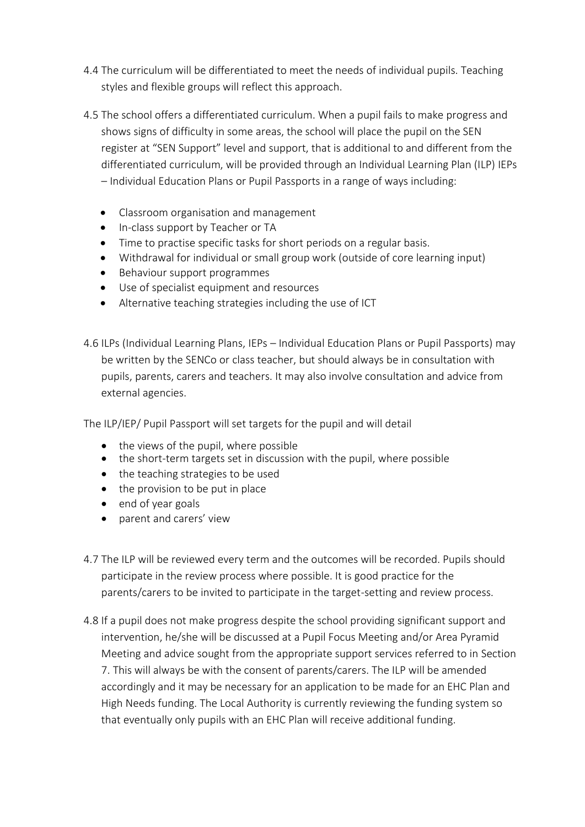- 4.4 The curriculum will be differentiated to meet the needs of individual pupils. Teaching styles and flexible groups will reflect this approach.
- 4.5 The school offers a differentiated curriculum. When a pupil fails to make progress and shows signs of difficulty in some areas, the school will place the pupil on the SEN register at "SEN Support" level and support, that is additional to and different from the differentiated curriculum, will be provided through an Individual Learning Plan (ILP) IEPs – Individual Education Plans or Pupil Passports in a range of ways including:
	- Classroom organisation and management
	- In-class support by Teacher or TA
	- Time to practise specific tasks for short periods on a regular basis.
	- Withdrawal for individual or small group work (outside of core learning input)
	- Behaviour support programmes
	- Use of specialist equipment and resources
	- Alternative teaching strategies including the use of ICT
- 4.6 ILPs (Individual Learning Plans, IEPs Individual Education Plans or Pupil Passports) may be written by the SENCo or class teacher, but should always be in consultation with pupils, parents, carers and teachers. It may also involve consultation and advice from external agencies.

The ILP/IEP/ Pupil Passport will set targets for the pupil and will detail

- the views of the pupil, where possible
- the short-term targets set in discussion with the pupil, where possible
- the teaching strategies to be used
- the provision to be put in place
- end of year goals
- parent and carers' view
- 4.7 The ILP will be reviewed every term and the outcomes will be recorded. Pupils should participate in the review process where possible. It is good practice for the parents/carers to be invited to participate in the target-setting and review process.
- 4.8 If a pupil does not make progress despite the school providing significant support and intervention, he/she will be discussed at a Pupil Focus Meeting and/or Area Pyramid Meeting and advice sought from the appropriate support services referred to in Section 7. This will always be with the consent of parents/carers. The ILP will be amended accordingly and it may be necessary for an application to be made for an EHC Plan and High Needs funding. The Local Authority is currently reviewing the funding system so that eventually only pupils with an EHC Plan will receive additional funding.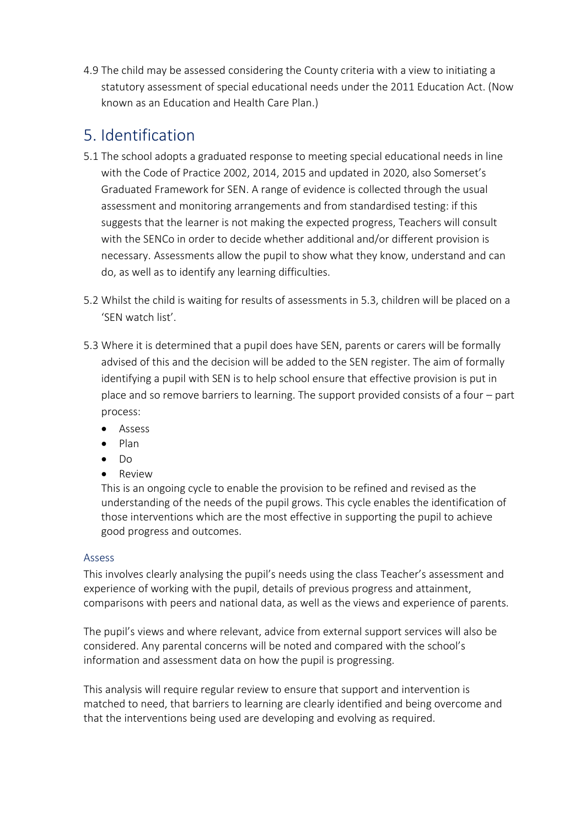4.9 The child may be assessed considering the County criteria with a view to initiating a statutory assessment of special educational needs under the 2011 Education Act. (Now known as an Education and Health Care Plan.)

## 5. Identification

- 5.1 The school adopts a graduated response to meeting special educational needs in line with the Code of Practice 2002, 2014, 2015 and updated in 2020, also Somerset's Graduated Framework for SEN. A range of evidence is collected through the usual assessment and monitoring arrangements and from standardised testing: if this suggests that the learner is not making the expected progress, Teachers will consult with the SENCo in order to decide whether additional and/or different provision is necessary. Assessments allow the pupil to show what they know, understand and can do, as well as to identify any learning difficulties.
- 5.2 Whilst the child is waiting for results of assessments in 5.3, children will be placed on a 'SEN watch list'.
- 5.3 Where it is determined that a pupil does have SEN, parents or carers will be formally advised of this and the decision will be added to the SEN register. The aim of formally identifying a pupil with SEN is to help school ensure that effective provision is put in place and so remove barriers to learning. The support provided consists of a four – part process:
	- Assess
	- Plan
	- Do
	- Review

This is an ongoing cycle to enable the provision to be refined and revised as the understanding of the needs of the pupil grows. This cycle enables the identification of those interventions which are the most effective in supporting the pupil to achieve good progress and outcomes.

#### Assess

This involves clearly analysing the pupil's needs using the class Teacher's assessment and experience of working with the pupil, details of previous progress and attainment, comparisons with peers and national data, as well as the views and experience of parents.

The pupil's views and where relevant, advice from external support services will also be considered. Any parental concerns will be noted and compared with the school's information and assessment data on how the pupil is progressing.

This analysis will require regular review to ensure that support and intervention is matched to need, that barriers to learning are clearly identified and being overcome and that the interventions being used are developing and evolving as required.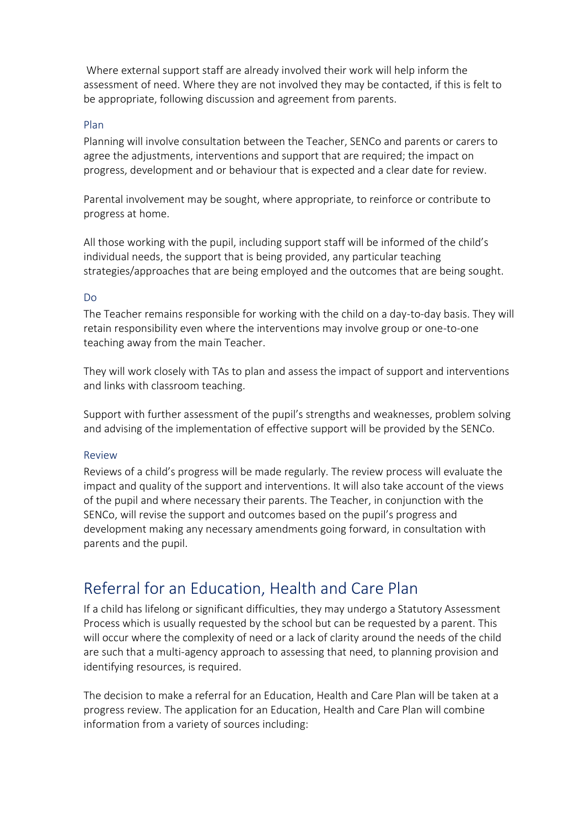Where external support staff are already involved their work will help inform the assessment of need. Where they are not involved they may be contacted, if this is felt to be appropriate, following discussion and agreement from parents.

#### Plan

Planning will involve consultation between the Teacher, SENCo and parents or carers to agree the adjustments, interventions and support that are required; the impact on progress, development and or behaviour that is expected and a clear date for review.

Parental involvement may be sought, where appropriate, to reinforce or contribute to progress at home.

All those working with the pupil, including support staff will be informed of the child's individual needs, the support that is being provided, any particular teaching strategies/approaches that are being employed and the outcomes that are being sought.

#### Do

The Teacher remains responsible for working with the child on a day-to-day basis. They will retain responsibility even where the interventions may involve group or one-to-one teaching away from the main Teacher.

They will work closely with TAs to plan and assess the impact of support and interventions and links with classroom teaching.

Support with further assessment of the pupil's strengths and weaknesses, problem solving and advising of the implementation of effective support will be provided by the SENCo.

#### Review

Reviews of a child's progress will be made regularly. The review process will evaluate the impact and quality of the support and interventions. It will also take account of the views of the pupil and where necessary their parents. The Teacher, in conjunction with the SENCo, will revise the support and outcomes based on the pupil's progress and development making any necessary amendments going forward, in consultation with parents and the pupil.

## Referral for an Education, Health and Care Plan

If a child has lifelong or significant difficulties, they may undergo a Statutory Assessment Process which is usually requested by the school but can be requested by a parent. This will occur where the complexity of need or a lack of clarity around the needs of the child are such that a multi-agency approach to assessing that need, to planning provision and identifying resources, is required.

The decision to make a referral for an Education, Health and Care Plan will be taken at a progress review. The application for an Education, Health and Care Plan will combine information from a variety of sources including: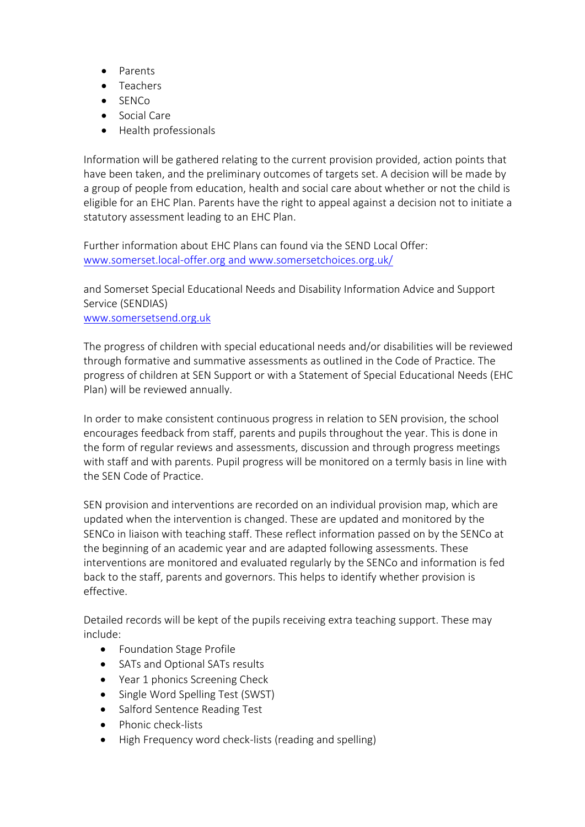- Parents
- Teachers
- SENCo
- Social Care
- Health professionals

Information will be gathered relating to the current provision provided, action points that have been taken, and the preliminary outcomes of targets set. A decision will be made by a group of people from education, health and social care about whether or not the child is eligible for an EHC Plan. Parents have the right to appeal against a decision not to initiate a statutory assessment leading to an EHC Plan.

Further information about EHC Plans can found via the SEND Local Offer: [www.somerset.local-offer.org](http://www.somerset.local-offer.org/) and [www.somersetchoices.org.uk/](http://www.somersetchoices.org.uk/)

and Somerset Special Educational Needs and Disability Information Advice and Support Service (SENDIAS)

[www.somersetsend.org.uk](http://www.somersetsend.org.uk/)

The progress of children with special educational needs and/or disabilities will be reviewed through formative and summative assessments as outlined in the Code of Practice. The progress of children at SEN Support or with a Statement of Special Educational Needs (EHC Plan) will be reviewed annually.

In order to make consistent continuous progress in relation to SEN provision, the school encourages feedback from staff, parents and pupils throughout the year. This is done in the form of regular reviews and assessments, discussion and through progress meetings with staff and with parents. Pupil progress will be monitored on a termly basis in line with the SEN Code of Practice.

SEN provision and interventions are recorded on an individual provision map, which are updated when the intervention is changed. These are updated and monitored by the SENCo in liaison with teaching staff. These reflect information passed on by the SENCo at the beginning of an academic year and are adapted following assessments. These interventions are monitored and evaluated regularly by the SENCo and information is fed back to the staff, parents and governors. This helps to identify whether provision is effective.

Detailed records will be kept of the pupils receiving extra teaching support. These may include:

- Foundation Stage Profile
- SATs and Optional SATs results
- Year 1 phonics Screening Check
- Single Word Spelling Test (SWST)
- Salford Sentence Reading Test
- Phonic check-lists
- High Frequency word check-lists (reading and spelling)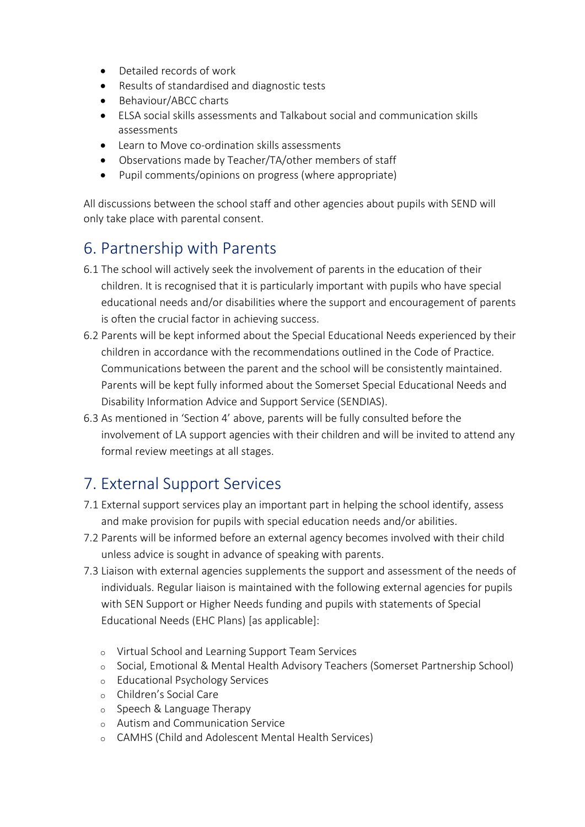- Detailed records of work
- Results of standardised and diagnostic tests
- Behaviour/ABCC charts
- ELSA social skills assessments and Talkabout social and communication skills assessments
- Learn to Move co-ordination skills assessments
- Observations made by Teacher/TA/other members of staff
- Pupil comments/opinions on progress (where appropriate)

All discussions between the school staff and other agencies about pupils with SEND will only take place with parental consent.

## 6. Partnership with Parents

- 6.1 The school will actively seek the involvement of parents in the education of their children. It is recognised that it is particularly important with pupils who have special educational needs and/or disabilities where the support and encouragement of parents is often the crucial factor in achieving success.
- 6.2 Parents will be kept informed about the Special Educational Needs experienced by their children in accordance with the recommendations outlined in the Code of Practice. Communications between the parent and the school will be consistently maintained. Parents will be kept fully informed about the Somerset Special Educational Needs and Disability Information Advice and Support Service (SENDIAS).
- 6.3 As mentioned in 'Section 4' above, parents will be fully consulted before the involvement of LA support agencies with their children and will be invited to attend any formal review meetings at all stages.

## 7. External Support Services

- 7.1 External support services play an important part in helping the school identify, assess and make provision for pupils with special education needs and/or abilities.
- 7.2 Parents will be informed before an external agency becomes involved with their child unless advice is sought in advance of speaking with parents.
- 7.3 Liaison with external agencies supplements the support and assessment of the needs of individuals. Regular liaison is maintained with the following external agencies for pupils with SEN Support or Higher Needs funding and pupils with statements of Special Educational Needs (EHC Plans) [as applicable]:
	- o Virtual School and Learning Support Team Services
	- o Social, Emotional & Mental Health Advisory Teachers (Somerset Partnership School)
	- o Educational Psychology Services
	- o Children's Social Care
	- o Speech & Language Therapy
	- o Autism and Communication Service
	- o CAMHS (Child and Adolescent Mental Health Services)